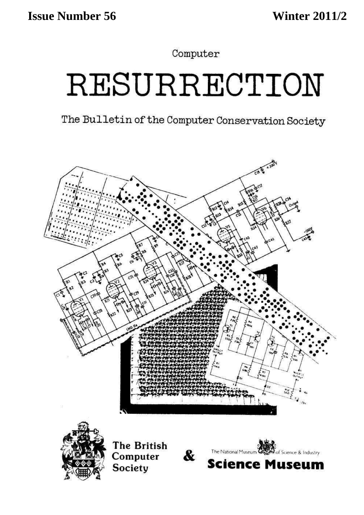Computer

# RESURRECTION

The Bulletin of the Computer Conservation Society

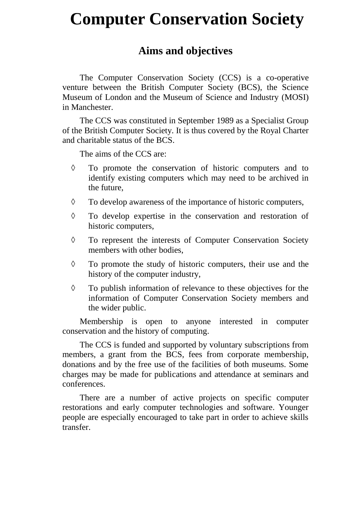# **Computer Conservation Society**

# **Aims and objectives**

The Computer Conservation Society (CCS) is a co-operative venture between the British Computer Society (BCS), the Science Museum of London and the Museum of Science and Industry (MOSI) in Manchester.

The CCS was constituted in September 1989 as a Specialist Group of the British Computer Society. It is thus covered by the Royal Charter and charitable status of the BCS.

The aims of the CCS are:

- To promote the conservation of historic computers and to identify existing computers which may need to be archived in the future,
- $\Diamond$  To develop awareness of the importance of historic computers,
- To develop expertise in the conservation and restoration of historic computers,
- To represent the interests of Computer Conservation Society members with other bodies,
- $\Diamond$  To promote the study of historic computers, their use and the history of the computer industry,
- $\Diamond$  To publish information of relevance to these objectives for the information of Computer Conservation Society members and the wider public.

Membership is open to anyone interested in computer conservation and the history of computing.

The CCS is funded and supported by voluntary subscriptions from members, a grant from the BCS, fees from corporate membership, donations and by the free use of the facilities of both museums. Some charges may be made for publications and attendance at seminars and conferences.

There are a number of active projects on specific computer restorations and early computer technologies and software. Younger people are especially encouraged to take part in order to achieve skills transfer.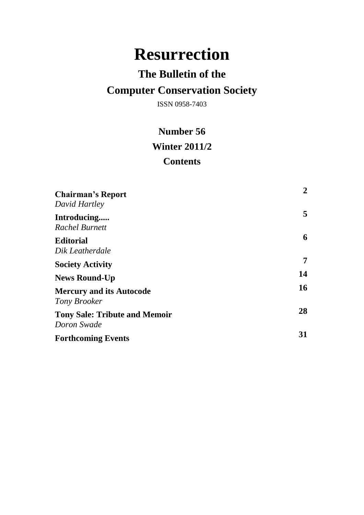# **Resurrection**

# **The Bulletin of the**

# **Computer Conservation Society**

ISSN 0958-7403

# **Number 56 Winter 2011/2 Contents**

| <b>Chairman's Report</b>                              | $\mathbf{2}$ |
|-------------------------------------------------------|--------------|
| David Hartley<br>Introducing<br><b>Rachel Burnett</b> | 5            |
| <b>Editorial</b><br>Dik Leatherdale                   | 6            |
| <b>Society Activity</b>                               | 7            |
| <b>News Round-Up</b>                                  | 14           |
| <b>Mercury and its Autocode</b><br>Tony Brooker       | 16           |
| <b>Tony Sale: Tribute and Memoir</b><br>Doron Swade   | 28           |
| <b>Forthcoming Events</b>                             | 31           |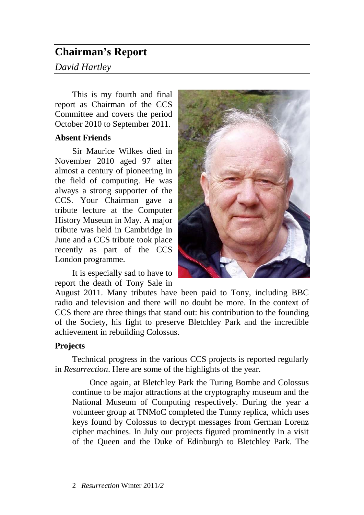# **Chairman's Report**

# *David Hartley*

This is my fourth and final report as Chairman of the CCS Committee and covers the period October 2010 to September 2011.

## **Absent Friends**

Sir Maurice Wilkes died in November 2010 aged 97 after almost a century of pioneering in the field of computing. He was always a strong supporter of the CCS. Your Chairman gave a tribute lecture at the Computer History Museum in May. A major tribute was held in Cambridge in June and a CCS tribute took place recently as part of the CCS London programme.

It is especially sad to have to report the death of Tony Sale in



August 2011. Many tributes have been paid to Tony, including BBC radio and television and there will no doubt be more. In the context of CCS there are three things that stand out: his contribution to the founding of the Society, his fight to preserve Bletchley Park and the incredible achievement in rebuilding Colossus.

## **Projects**

Technical progress in the various CCS projects is reported regularly in *Resurrection*. Here are some of the highlights of the year.

Once again, at Bletchley Park the Turing Bombe and Colossus continue to be major attractions at the cryptography museum and the National Museum of Computing respectively. During the year a volunteer group at TNMoC completed the Tunny replica, which uses keys found by Colossus to decrypt messages from German Lorenz cipher machines. In July our projects figured prominently in a visit of the Queen and the Duke of Edinburgh to Bletchley Park. The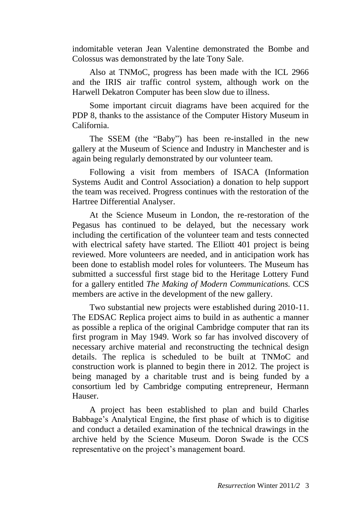indomitable veteran Jean Valentine demonstrated the Bombe and Colossus was demonstrated by the late Tony Sale.

Also at TNMoC, progress has been made with the ICL 2966 and the IRIS air traffic control system, although work on the Harwell Dekatron Computer has been slow due to illness.

Some important circuit diagrams have been acquired for the PDP 8, thanks to the assistance of the Computer History Museum in California.

The SSEM (the "Baby") has been re-installed in the new gallery at the Museum of Science and Industry in Manchester and is again being regularly demonstrated by our volunteer team.

Following a visit from members of ISACA (Information Systems Audit and Control Association) a donation to help support the team was received. Progress continues with the restoration of the Hartree Differential Analyser.

At the Science Museum in London, the re-restoration of the Pegasus has continued to be delayed, but the necessary work including the certification of the volunteer team and tests connected with electrical safety have started. The Elliott 401 project is being reviewed. More volunteers are needed, and in anticipation work has been done to establish model roles for volunteers. The Museum has submitted a successful first stage bid to the Heritage Lottery Fund for a gallery entitled *The Making of Modern Communications.* CCS members are active in the development of the new gallery.

Two substantial new projects were established during 2010-11. The EDSAC Replica project aims to build in as authentic a manner as possible a replica of the original Cambridge computer that ran its first program in May 1949. Work so far has involved discovery of necessary archive material and reconstructing the technical design details. The replica is scheduled to be built at TNMoC and construction work is planned to begin there in 2012. The project is being managed by a charitable trust and is being funded by a consortium led by Cambridge computing entrepreneur, Hermann Hauser.

A project has been established to plan and build Charles Babbage's Analytical Engine, the first phase of which is to digitise and conduct a detailed examination of the technical drawings in the archive held by the Science Museum. Doron Swade is the CCS representative on the project's management board.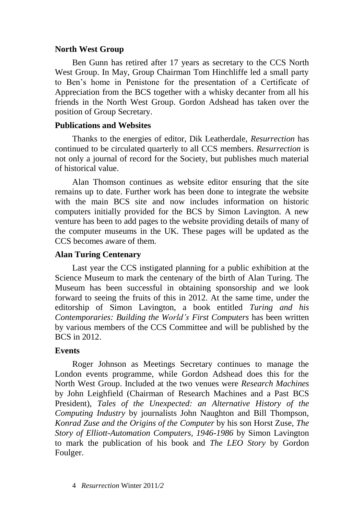### **North West Group**

Ben Gunn has retired after 17 years as secretary to the CCS North West Group. In May, Group Chairman Tom Hinchliffe led a small party to Ben's home in Penistone for the presentation of a Certificate of Appreciation from the BCS together with a whisky decanter from all his friends in the North West Group. Gordon Adshead has taken over the position of Group Secretary.

#### **Publications and Websites**

Thanks to the energies of editor, Dik Leatherdale, *Resurrection* has continued to be circulated quarterly to all CCS members. *Resurrection* is not only a journal of record for the Society, but publishes much material of historical value.

Alan Thomson continues as website editor ensuring that the site remains up to date. Further work has been done to integrate the website with the main BCS site and now includes information on historic computers initially provided for the BCS by Simon Lavington. A new venture has been to add pages to the website providing details of many of the computer museums in the UK. These pages will be updated as the CCS becomes aware of them.

### **Alan Turing Centenary**

Last year the CCS instigated planning for a public exhibition at the Science Museum to mark the centenary of the birth of Alan Turing. The Museum has been successful in obtaining sponsorship and we look forward to seeing the fruits of this in 2012. At the same time, under the editorship of Simon Lavington, a book entitled *Turing and his Contemporaries: Building the World's First Computers* has been written by various members of the CCS Committee and will be published by the BCS in 2012.

#### **Events**

Roger Johnson as Meetings Secretary continues to manage the London events programme, while Gordon Adshead does this for the North West Group. Included at the two venues were *Research Machines* by John Leighfield (Chairman of Research Machines and a Past BCS President), *Tales of the Unexpected: an Alternative History of the Computing Industry* by journalists John Naughton and Bill Thompson, *Konrad Zuse and the Origins of the Computer* by his son Horst Zuse, *The Story of Elliott-Automation Computers, 1946-1986* by Simon Lavington to mark the publication of his book and *The LEO Story* by Gordon Foulger.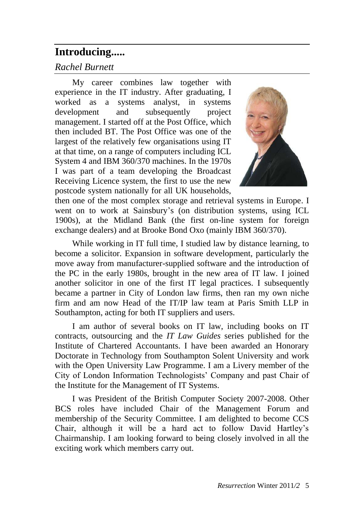# **Introducing.....**

# *Rachel Burnett*

My career combines law together with experience in the IT industry. After graduating, I worked as a systems analyst, in systems development and subsequently project management. I started off at the Post Office, which then included BT. The Post Office was one of the largest of the relatively few organisations using IT at that time, on a range of computers including ICL System 4 and IBM 360/370 machines. In the 1970s I was part of a team developing the Broadcast Receiving Licence system, the first to use the new postcode system nationally for all UK households,



then one of the most complex storage and retrieval systems in Europe. I went on to work at Sainsbury's (on distribution systems, using ICL 1900s), at the Midland Bank (the first on-line system for foreign exchange dealers) and at Brooke Bond Oxo (mainly IBM 360/370).

While working in IT full time, I studied law by distance learning, to become a solicitor. Expansion in software development, particularly the move away from manufacturer-supplied software and the introduction of the PC in the early 1980s, brought in the new area of IT law. I joined another solicitor in one of the first IT legal practices. I subsequently became a partner in City of London law firms, then ran my own niche firm and am now Head of the IT/IP law team at Paris Smith LLP in Southampton, acting for both IT suppliers and users.

I am author of several books on IT law, including books on IT contracts, outsourcing and the *IT Law Guides* series published for the Institute of Chartered Accountants. I have been awarded an Honorary Doctorate in Technology from Southampton Solent University and work with the Open University Law Programme. I am a Livery member of the City of London Information Technologists' Company and past Chair of the Institute for the Management of IT Systems.

I was President of the British Computer Society 2007-2008. Other BCS roles have included Chair of the Management Forum and membership of the Security Committee. I am delighted to become CCS Chair, although it will be a hard act to follow David Hartley's Chairmanship. I am looking forward to being closely involved in all the exciting work which members carry out.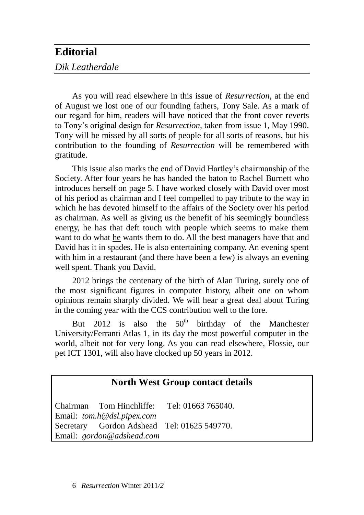# **Editorial**

# *Dik Leatherdale*

As you will read elsewhere in this issue of *Resurrection*, at the end of August we lost one of our founding fathers, Tony Sale. As a mark of our regard for him, readers will have noticed that the front cover reverts to Tony's original design for *Resurrection*, taken from issue 1, May 1990. Tony will be missed by all sorts of people for all sorts of reasons, but his contribution to the founding of *Resurrection* will be remembered with gratitude.

This issue also marks the end of David Hartley's chairmanship of the Society. After four years he has handed the baton to Rachel Burnett who introduces herself on page 5. I have worked closely with David over most of his period as chairman and I feel compelled to pay tribute to the way in which he has devoted himself to the affairs of the Society over his period as chairman. As well as giving us the benefit of his seemingly boundless energy, he has that deft touch with people which seems to make them want to do what he wants them to do. All the best managers have that and David has it in spades. He is also entertaining company. An evening spent with him in a restaurant (and there have been a few) is always an evening well spent. Thank you David.

2012 brings the centenary of the birth of Alan Turing, surely one of the most significant figures in computer history, albeit one on whom opinions remain sharply divided. We will hear a great deal about Turing in the coming year with the CCS contribution well to the fore.

But 2012 is also the  $50<sup>th</sup>$  birthday of the Manchester University/Ferranti Atlas 1, in its day the most powerful computer in the world, albeit not for very long. As you can read elsewhere, Flossie, our pet ICT 1301, will also have clocked up 50 years in 2012.

# **North West Group contact details**

Chairman Tom Hinchliffe: Tel: 01663 765040. Email: *[tom.h@dsl.pipex.com](mailto:tom.h@dsl.pipex.com)* Secretary Gordon Adshead Tel: 01625 549770. Email: *[gordon@adshead.com](mailto:gordon@adshead.com)*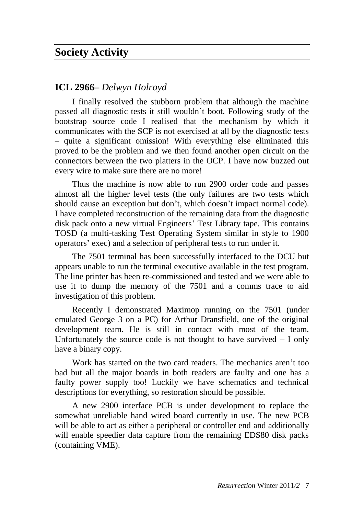# **Society Activity**

### **ICL 2966–** *Delwyn Holroyd*

I finally resolved the stubborn problem that although the machine passed all diagnostic tests it still wouldn't boot. Following study of the bootstrap source code I realised that the mechanism by which it communicates with the SCP is not exercised at all by the diagnostic tests – quite a significant omission! With everything else eliminated this proved to be the problem and we then found another open circuit on the connectors between the two platters in the OCP. I have now buzzed out every wire to make sure there are no more!

Thus the machine is now able to run 2900 order code and passes almost all the higher level tests (the only failures are two tests which should cause an exception but don't, which doesn't impact normal code). I have completed reconstruction of the remaining data from the diagnostic disk pack onto a new virtual Engineers' Test Library tape. This contains TOSD (a multi-tasking Test Operating System similar in style to 1900 operators' exec) and a selection of peripheral tests to run under it.

The 7501 terminal has been successfully interfaced to the DCU but appears unable to run the terminal executive available in the test program. The line printer has been re-commissioned and tested and we were able to use it to dump the memory of the 7501 and a comms trace to aid investigation of this problem.

Recently I demonstrated Maximop running on the 7501 (under emulated George 3 on a PC) for Arthur Dransfield, one of the original development team. He is still in contact with most of the team. Unfortunately the source code is not thought to have survived  $-$  I only have a binary copy.

Work has started on the two card readers. The mechanics aren't too bad but all the major boards in both readers are faulty and one has a faulty power supply too! Luckily we have schematics and technical descriptions for everything, so restoration should be possible.

A new 2900 interface PCB is under development to replace the somewhat unreliable hand wired board currently in use. The new PCB will be able to act as either a peripheral or controller end and additionally will enable speedier data capture from the remaining EDS80 disk packs (containing VME).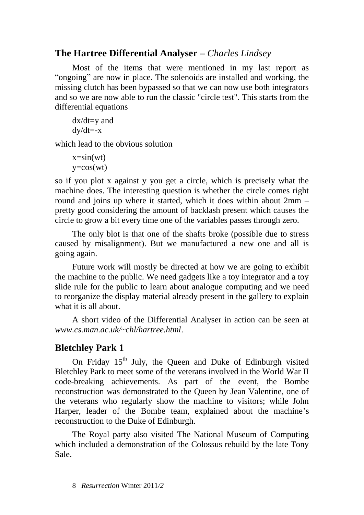# **The Hartree Differential Analyser –** *Charles Lindsey*

Most of the items that were mentioned in my last report as "ongoing" are now in place. The solenoids are installed and working, the missing clutch has been bypassed so that we can now use both integrators and so we are now able to run the classic "circle test". This starts from the differential equations

$$
dx/dt=y
$$
 and  $dy/dt=x$ 

which lead to the obvious solution

```
x=sin(wt)y = cos(wt)
```
so if you plot x against y you get a circle, which is precisely what the machine does. The interesting question is whether the circle comes right round and joins up where it started, which it does within about 2mm – pretty good considering the amount of backlash present which causes the circle to grow a bit every time one of the variables passes through zero.

The only blot is that one of the shafts broke (possible due to stress caused by misalignment). But we manufactured a new one and all is going again.

Future work will mostly be directed at how we are going to exhibit the machine to the public. We need gadgets like a toy integrator and a toy slide rule for the public to learn about analogue computing and we need to reorganize the display material already present in the gallery to explain what it is all about.

A short video of the Differential Analyser in action can be seen at *[www.cs.man.ac.uk/~chl/hartree.html](http://www.cs.man.ac.uk/~chl/hartree.html)*.

# **Bletchley Park 1**

On Friday  $15<sup>th</sup>$  July, the Queen and Duke of Edinburgh visited Bletchley Park to meet some of the veterans involved in the World War II code-breaking achievements. As part of the event, the Bombe reconstruction was demonstrated to the Queen by Jean Valentine, one of the veterans who regularly show the machine to visitors; while John Harper, leader of the Bombe team, explained about the machine's reconstruction to the Duke of Edinburgh.

The Royal party also visited The National Museum of Computing which included a demonstration of the Colossus rebuild by the late Tony Sale.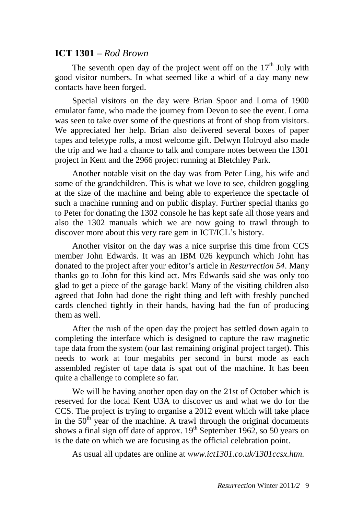### **ICT 1301 –** *Rod Brown*

The seventh open day of the project went off on the  $17<sup>th</sup>$  July with good visitor numbers. In what seemed like a whirl of a day many new contacts have been forged.

Special visitors on the day were Brian Spoor and Lorna of 1900 emulator fame, who made the journey from Devon to see the event. Lorna was seen to take over some of the questions at front of shop from visitors. We appreciated her help. Brian also delivered several boxes of paper tapes and teletype rolls, a most welcome gift. Delwyn Holroyd also made the trip and we had a chance to talk and compare notes between the 1301 project in Kent and the 2966 project running at Bletchley Park.

Another notable visit on the day was from Peter Ling, his wife and some of the grandchildren. This is what we love to see, children goggling at the size of the machine and being able to experience the spectacle of such a machine running and on public display. Further special thanks go to Peter for donating the 1302 console he has kept safe all those years and also the 1302 manuals which we are now going to trawl through to discover more about this very rare gem in ICT/ICL's history.

Another visitor on the day was a nice surprise this time from CCS member John Edwards. It was an IBM 026 keypunch which John has donated to the project after your editor's article in *Resurrection 54*. Many thanks go to John for this kind act. Mrs Edwards said she was only too glad to get a piece of the garage back! Many of the visiting children also agreed that John had done the right thing and left with freshly punched cards clenched tightly in their hands, having had the fun of producing them as well.

After the rush of the open day the project has settled down again to completing the interface which is designed to capture the raw magnetic tape data from the system (our last remaining original project target). This needs to work at four megabits per second in burst mode as each assembled register of tape data is spat out of the machine. It has been quite a challenge to complete so far.

We will be having another open day on the 21st of October which is reserved for the local Kent U3A to discover us and what we do for the CCS. The project is trying to organise a 2012 event which will take place in the  $50<sup>th</sup>$  year of the machine. A trawl through the original documents shows a final sign off date of approx.  $19<sup>th</sup>$  September 1962, so 50 years on is the date on which we are focusing as the official celebration point.

As usual all updates are online at *[www.ict1301.co.uk/1301ccsx.htm.](http://www.ict1301.co.uk/1301ccsx.htm)*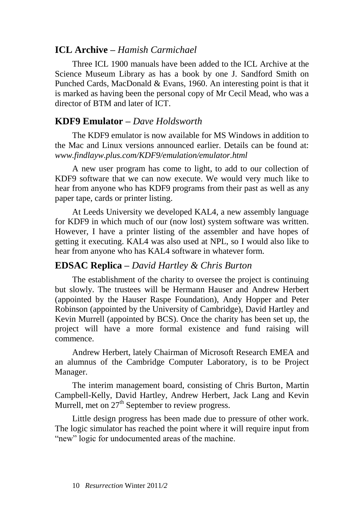# **ICL Archive –** *Hamish Carmichael*

Three ICL 1900 manuals have been added to the ICL Archive at the Science Museum Library as has a book by one J. Sandford Smith on Punched Cards, MacDonald & Evans, 1960. An interesting point is that it is marked as having been the personal copy of Mr Cecil Mead, who was a director of BTM and later of ICT.

# **KDF9 Emulator –** *Dave Holdsworth*

The KDF9 emulator is now available for MS Windows in addition to the Mac and Linux versions announced earlier. Details can be found at: *[www.findlayw.plus.com/KDF9/emulation/emulator.html](http://www.findlayw.plus.com/KDF9/emulation/emulator.html)*

A new user program has come to light, to add to our collection of KDF9 software that we can now execute. We would very much like to hear from anyone who has KDF9 programs from their past as well as any paper tape, cards or printer listing.

At Leeds University we developed KAL4, a new assembly language for KDF9 in which much of our (now lost) system software was written. However, I have a printer listing of the assembler and have hopes of getting it executing. KAL4 was also used at NPL, so I would also like to hear from anyone who has KAL4 software in whatever form.

## **EDSAC Replica –** *David Hartley & Chris Burton*

The establishment of the charity to oversee the project is continuing but slowly. The trustees will be Hermann Hauser and Andrew Herbert (appointed by the Hauser Raspe Foundation), Andy Hopper and Peter Robinson (appointed by the University of Cambridge), David Hartley and Kevin Murrell (appointed by BCS). Once the charity has been set up, the project will have a more formal existence and fund raising will commence.

Andrew Herbert, lately Chairman of Microsoft Research EMEA and an alumnus of the Cambridge Computer Laboratory, is to be Project Manager.

The interim management board, consisting of Chris Burton, Martin Campbell-Kelly, David Hartley, Andrew Herbert, Jack Lang and Kevin Murrell, met on  $27<sup>th</sup>$  September to review progress.

Little design progress has been made due to pressure of other work. The logic simulator has reached the point where it will require input from "new" logic for undocumented areas of the machine.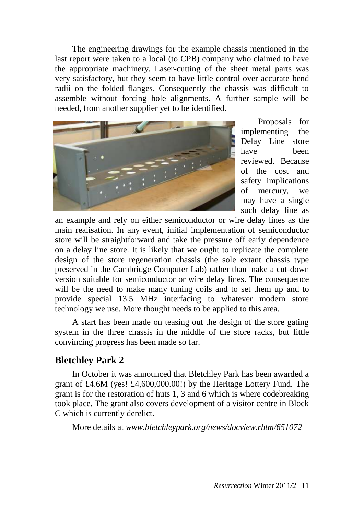The engineering drawings for the example chassis mentioned in the last report were taken to a local (to CPB) company who claimed to have the appropriate machinery. Laser-cutting of the sheet metal parts was very satisfactory, but they seem to have little control over accurate bend radii on the folded flanges. Consequently the chassis was difficult to assemble without forcing hole alignments. A further sample will be needed, from another supplier yet to be identified.



Proposals for implementing the Delay Line store have been reviewed. Because of the cost and safety implications of mercury, we may have a single such delay line as

an example and rely on either semiconductor or wire delay lines as the main realisation. In any event, initial implementation of semiconductor store will be straightforward and take the pressure off early dependence on a delay line store. It is likely that we ought to replicate the complete design of the store regeneration chassis (the sole extant chassis type preserved in the Cambridge Computer Lab) rather than make a cut-down version suitable for semiconductor or wire delay lines. The consequence will be the need to make many tuning coils and to set them up and to provide special 13.5 MHz interfacing to whatever modern store technology we use. More thought needs to be applied to this area.

A start has been made on teasing out the design of the store gating system in the three chassis in the middle of the store racks, but little convincing progress has been made so far.

# **Bletchley Park 2**

In October it was announced that Bletchley Park has been awarded a grant of £4.6M (yes! £4,600,000.00!) by the Heritage Lottery Fund. The grant is for the restoration of huts 1, 3 and 6 which is where codebreaking took place. The grant also covers development of a visitor centre in Block C which is currently derelict.

More details at *[www.bletchleypark.org/news/docview.rhtm/651072](http://www.bletchleypark.org/news/docview.rhtm/651072)*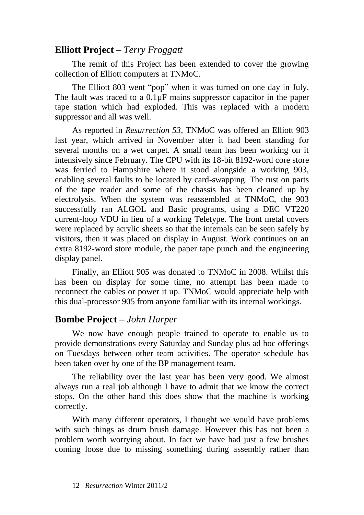# **Elliott Project –** *Terry Froggatt*

The remit of this Project has been extended to cover the growing collection of Elliott computers at TNMoC.

The Elliott 803 went "pop" when it was turned on one day in July. The fault was traced to a  $0.1\mu$ F mains suppressor capacitor in the paper tape station which had exploded. This was replaced with a modern suppressor and all was well.

As reported in *Resurrection 53*, TNMoC was offered an Elliott 903 last year, which arrived in November after it had been standing for several months on a wet carpet. A small team has been working on it intensively since February. The CPU with its 18-bit 8192-word core store was ferried to Hampshire where it stood alongside a working 903, enabling several faults to be located by card-swapping. The rust on parts of the tape reader and some of the chassis has been cleaned up by electrolysis. When the system was reassembled at TNMoC, the 903 successfully ran ALGOL and Basic programs, using a DEC VT220 current-loop VDU in lieu of a working Teletype. The front metal covers were replaced by acrylic sheets so that the internals can be seen safely by visitors, then it was placed on display in August. Work continues on an extra 8192-word store module, the paper tape punch and the engineering display panel.

Finally, an Elliott 905 was donated to TNMoC in 2008. Whilst this has been on display for some time, no attempt has been made to reconnect the cables or power it up. TNMoC would appreciate help with this dual-processor 905 from anyone familiar with its internal workings.

# **Bombe Project –** *John Harper*

We now have enough people trained to operate to enable us to provide demonstrations every Saturday and Sunday plus ad hoc offerings on Tuesdays between other team activities. The operator schedule has been taken over by one of the BP management team.

The reliability over the last year has been very good. We almost always run a real job although I have to admit that we know the correct stops. On the other hand this does show that the machine is working correctly.

With many different operators, I thought we would have problems with such things as drum brush damage. However this has not been a problem worth worrying about. In fact we have had just a few brushes coming loose due to missing something during assembly rather than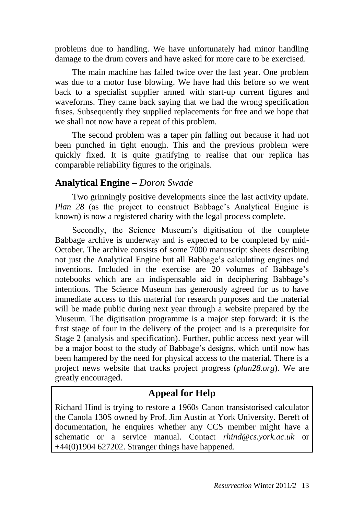problems due to handling. We have unfortunately had minor handling damage to the drum covers and have asked for more care to be exercised.

The main machine has failed twice over the last year. One problem was due to a motor fuse blowing. We have had this before so we went back to a specialist supplier armed with start-up current figures and waveforms. They came back saying that we had the wrong specification fuses. Subsequently they supplied replacements for free and we hope that we shall not now have a repeat of this problem.

The second problem was a taper pin falling out because it had not been punched in tight enough. This and the previous problem were quickly fixed. It is quite gratifying to realise that our replica has comparable reliability figures to the originals.

# **Analytical Engine –** *Doron Swade*

Two grinningly positive developments since the last activity update. *Plan 28* (as the project to construct Babbage's Analytical Engine is known) is now a registered charity with the legal process complete.

Secondly, the Science Museum's digitisation of the complete Babbage archive is underway and is expected to be completed by mid-October. The archive consists of some 7000 manuscript sheets describing not just the Analytical Engine but all Babbage's calculating engines and inventions. Included in the exercise are 20 volumes of Babbage's notebooks which are an indispensable aid in deciphering Babbage's intentions. The Science Museum has generously agreed for us to have immediate access to this material for research purposes and the material will be made public during next year through a website prepared by the Museum. The digitisation programme is a major step forward: it is the first stage of four in the delivery of the project and is a prerequisite for Stage 2 (analysis and specification). Further, public access next year will be a major boost to the study of Babbage's designs, which until now has been hampered by the need for physical access to the material. There is a project news website that tracks project progress (*[plan28.org](http://plan28.org/)*). We are greatly encouraged.

# **Appeal for Help**

Richard Hind is trying to restore a 1960s Canon transistorised calculator the Canola 130S owned by Prof. Jim Austin at York University. Bereft of documentation, he enquires whether any CCS member might have a schematic or a service manual. Contact *[rhind@cs.york.ac.uk](mailto:rhind@cs.york.ac.uk)* or  $+44(0)1904$  627202. Stranger things have happened.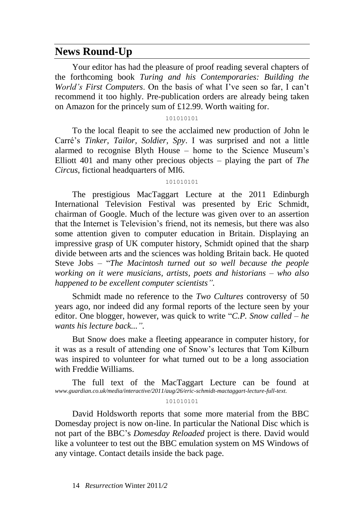# **News Round-Up**

Your editor has had the pleasure of proof reading several chapters of the forthcoming book *Turing and his Contemporaries: Building the World's First Computers*. On the basis of what I've seen so far, I can't recommend it too highly. Pre-publication orders are already being taken on Amazon for the princely sum of £12.99. Worth waiting for.

101010101

To the local fleapit to see the acclaimed new production of John le Carré's *Tinker, Tailor, Soldier, Spy*. I was surprised and not a little alarmed to recognise Blyth House – home to the Science Museum's Elliott 401 and many other precious objects – playing the part of *The Circus*, fictional headquarters of MI6.

#### 101010101

The prestigious MacTaggart Lecture at the 2011 Edinburgh International Television Festival was presented by Eric Schmidt, chairman of Google. Much of the lecture was given over to an assertion that the Internet is Television's friend, not its nemesis, but there was also some attention given to computer education in Britain. Displaying an impressive grasp of UK computer history, Schmidt opined that the sharp divide between arts and the sciences was holding Britain back. He quoted Steve Jobs – "*The Macintosh turned out so well because the people working on it were musicians, artists, poets and historians – who also happened to be excellent computer scientists".*

Schmidt made no reference to the *Two Cultures* controversy of 50 years ago, nor indeed did any formal reports of the lecture seen by your editor. One blogger, however, was quick to write "*C.P. Snow called – he wants his lecture back...".*

But Snow does make a fleeting appearance in computer history, for it was as a result of attending one of Snow's lectures that Tom Kilburn was inspired to volunteer for what turned out to be a long association with Freddie Williams.

The full text of the MacTaggart Lecture can be found at *[www.guardian.co.uk/media/interactive/2011/aug/26/eric-schmidt-mactaggart-lecture-full-text](http://www.guardian.co.uk/media/interactive/2011/aug/26/eric-schmidt-mactaggart-lecture-full-text)*.

#### 101010101

David Holdsworth reports that some more material from the BBC Domesday project is now on-line. In particular the National Disc which is not part of the BBC's *Domesday Reloaded* project is there. David would like a volunteer to test out the BBC emulation system on MS Windows of any vintage. Contact details inside the back page.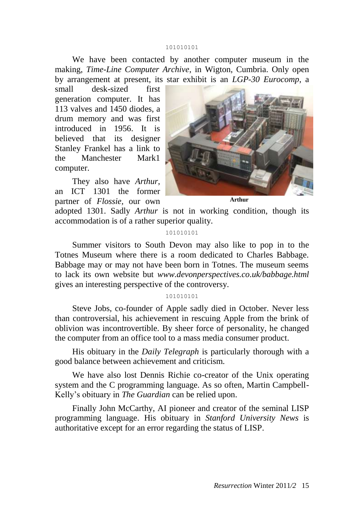#### 101010101

We have been contacted by another computer museum in the making, *Time-Line Computer Archive*, in Wigton, Cumbria. Only open by arrangement at present, its star exhibit is an *LGP-30 Eurocomp*, a

small desk-sized first generation computer. It has 113 valves and 1450 diodes, a drum memory and was first introduced in 1956. It is believed that its designer Stanley Frankel has a link to the Manchester Mark1 computer.

They also have *Arthur*, an ICT 1301 the former partner of *Flossie,* our own



**Arthur**

adopted 1301. Sadly *Arthur* is not in working condition, though its accommodation is of a rather superior quality.

#### 101010101

Summer visitors to South Devon may also like to pop in to the Totnes Museum where there is a room dedicated to Charles Babbage. Babbage may or may not have been born in Totnes. The museum seems to lack its own website but *[www.devonperspectives.co.uk/babbage.html](http://www.devonperspectives.co.uk/babbage.html)* gives an interesting perspective of the controversy.

#### 101010101

Steve Jobs, co-founder of Apple sadly died in October. Never less than controversial, his achievement in rescuing Apple from the brink of oblivion was incontrovertible. By sheer force of personality, he changed the computer from an office tool to a mass media consumer product.

His obituary in the *[Daily Telegraph](http://www.telegraph.co.uk/news/obituaries/technology-obituaries/8810037/Steve-Jobs-obituary.html)* is particularly thorough with a good balance between achievement and criticism.

We have also lost Dennis Richie co-creator of the Unix operating system and the C programming language. As so often, Martin Campbell-Kelly's obituary in *[The Guardian](http://www.guardian.co.uk/technology/2011/oct/13/dennis-ritchie)* can be relied upon.

Finally John McCarthy, AI pioneer and creator of the seminal LISP programming language. His obituary in *[Stanford University News](http://news.stanford.edu/news/2011/october/john-mccarthy-obit-102511.html)* is authoritative except for an error regarding the status of LISP.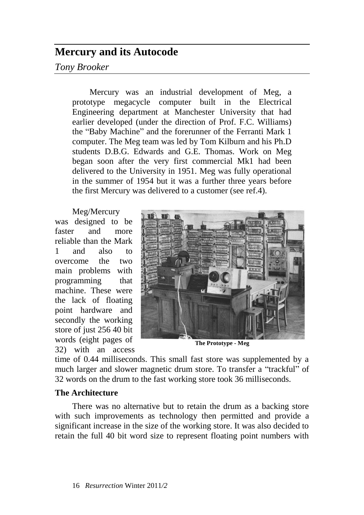# **Mercury and its Autocode**

# *Tony Brooker*

Mercury was an industrial development of Meg, a prototype megacycle computer built in the Electrical Engineering department at Manchester University that had earlier developed (under the direction of Prof. F.C. Williams) the "Baby Machine" and the forerunner of the Ferranti Mark 1 computer. The Meg team was led by Tom Kilburn and his Ph.D students D.B.G. Edwards and G.E. Thomas. Work on Meg began soon after the very first commercial Mk1 had been delivered to the University in 1951. Meg was fully operational in the summer of 1954 but it was a further three years before the first Mercury was delivered to a customer (see ref.4).

Meg/Mercury was designed to be faster and more reliable than the Mark 1 and also to overcome the two main problems with programming that machine. These were the lack of floating point hardware and secondly the working store of just 256 40 bit words (eight pages of 32) with an access



time of 0.44 milliseconds. This small fast store was supplemented by a much larger and slower magnetic drum store. To transfer a "trackful" of 32 words on the drum to the fast working store took 36 milliseconds.

### **The Architecture**

There was no alternative but to retain the drum as a backing store with such improvements as technology then permitted and provide a significant increase in the size of the working store. It was also decided to retain the full 40 bit word size to represent floating point numbers with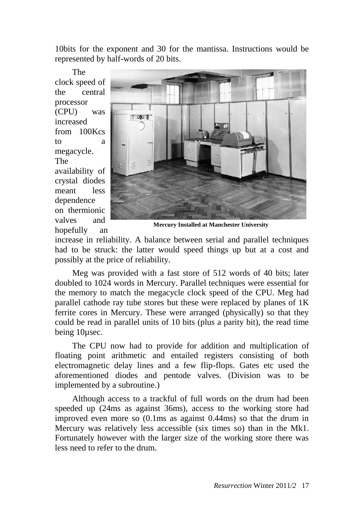10bits for the exponent and 30 for the mantissa. Instructions would be represented by half-words of 20 bits.

The clock speed of the central processor (CPU) was increased from 100Kcs to a megacycle. The availability of crystal diodes meant less dependence on thermionic valves and hopefully an



**Mercury Installed at Manchester University**

increase in reliability. A balance between serial and parallel techniques had to be struck: the latter would speed things up but at a cost and possibly at the price of reliability.

Meg was provided with a fast store of 512 words of 40 bits; later doubled to 1024 words in Mercury. Parallel techniques were essential for the memory to match the megacycle clock speed of the CPU. Meg had parallel cathode ray tube stores but these were replaced by planes of 1K ferrite cores in Mercury. These were arranged (physically) so that they could be read in parallel units of 10 bits (plus a parity bit), the read time being 10µsec.

The CPU now had to provide for addition and multiplication of floating point arithmetic and entailed registers consisting of both electromagnetic delay lines and a few flip-flops. Gates etc used the aforementioned diodes and pentode valves. (Division was to be implemented by a subroutine.)

Although access to a trackful of full words on the drum had been speeded up (24ms as against 36ms), access to the working store had improved even more so (0.1ms as against 0.44ms) so that the drum in Mercury was relatively less accessible (six times so) than in the Mk1. Fortunately however with the larger size of the working store there was less need to refer to the drum.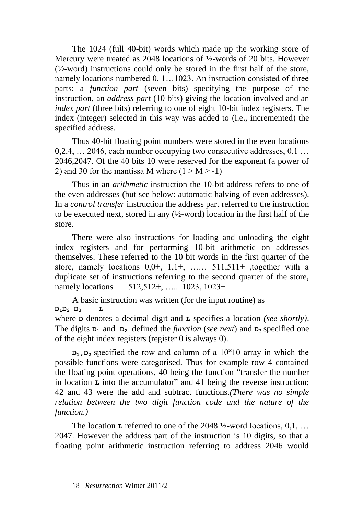The 1024 (full 40-bit) words which made up the working store of Mercury were treated as 2048 locations of ½-words of 20 bits. However (½-word) instructions could only be stored in the first half of the store, namely locations numbered 0, 1…1023. An instruction consisted of three parts: a *function part* (seven bits) specifying the purpose of the instruction, an *address part* (10 bits) giving the location involved and an *index part* (three bits) referring to one of eight 10-bit index registers. The index (integer) selected in this way was added to (i.e., incremented) the specified address.

Thus 40-bit floating point numbers were stored in the even locations 0,2,4, … 2046, each number occupying two consecutive addresses, 0,1 … 2046,2047. Of the 40 bits 10 were reserved for the exponent (a power of 2) and 30 for the mantissa M where  $(1 > M \ge -1)$ 

Thus in an *arithmetic* instruction the 10-bit address refers to one of the even addresses (but see below: automatic halving of even addresses). In a *control transfer* instruction the address part referred to the instruction to be executed next, stored in any (½-word) location in the first half of the store.

There were also instructions for loading and unloading the eight index registers and for performing 10-bit arithmetic on addresses themselves. These referred to the 10 bit words in the first quarter of the store, namely locations  $0,0^+, 1,1^+, \ldots$  511,511+ ,together with a duplicate set of instructions referring to the second quarter of the store, namely locations 512,512+, …... 1023, 1023+

A basic instruction was written (for the input routine) as  $D_1D_2$   $D_3$ where **D** denotes a decimal digit and **L** specifies a location *(see shortly)*. The digits  $D_1$  and  $D_2$  defined the *function (see next)* and  $D_3$  specified one of the eight index registers (register 0 is always 0).

 $D_1$ ,  $D_2$  specified the row and column of a  $10 \times 10$  array in which the possible functions were categorised. Thus for example row 4 contained the floating point operations, 40 being the function "transfer the number in location **L** into the accumulator" and 41 being the reverse instruction; 42 and 43 were the add and subtract functions.*(There was no simple relation between the two digit function code and the nature of the function.)*

The location **L** referred to one of the 2048 ½-word locations, 0,1, … 2047. However the address part of the instruction is 10 digits, so that a floating point arithmetic instruction referring to address 2046 would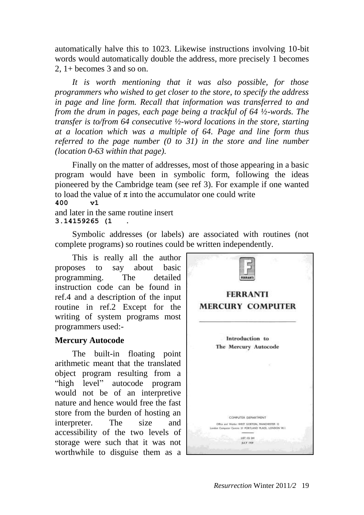automatically halve this to 1023. Likewise instructions involving 10-bit words would automatically double the address, more precisely 1 becomes 2, 1+ becomes 3 and so on.

*It is worth mentioning that it was also possible, for those programmers who wished to get closer to the store, to specify the address in page and line form. Recall that information was transferred to and from the drum in pages, each page being a trackful of 64 ½-words. The transfer is to/from 64 consecutive ½-word locations in the store, starting at a location which was a multiple of 64. Page and line form thus referred to the page number (0 to 31) in the store and line number (location 0-63 within that page).*

Finally on the matter of addresses, most of those appearing in a basic program would have been in symbolic form, following the ideas pioneered by the Cambridge team (see ref 3). For example if one wanted to load the value of  $\pi$  into the accumulator one could write **400 v1**

and later in the same routine insert **3.14159265 (1 .**

Symbolic addresses (or labels) are associated with routines (not complete programs) so routines could be written independently.

This is really all the author proposes to say about basic programming. The detailed instruction code can be found in ref.4 and a description of the input routine in ref.2 Except for the writing of system programs most programmers used:-

#### **Mercury Autocode**

The built-in floating point arithmetic meant that the translated object program resulting from a "high level" autocode program would not be of an interpretive nature and hence would free the fast store from the burden of hosting an interpreter. The size and accessibility of the two levels of storage were such that it was not worthwhile to disguise them as a

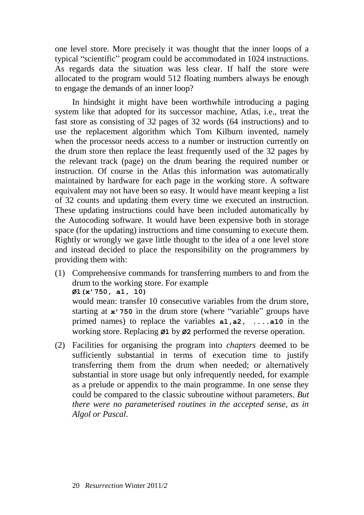one level store. More precisely it was thought that the inner loops of a typical "scientific" program could be accommodated in 1024 instructions. As regards data the situation was less clear. If half the store were allocated to the program would 512 floating numbers always be enough to engage the demands of an inner loop?

In hindsight it might have been worthwhile introducing a paging system like that adopted for its successor machine, Atlas, i.e., treat the fast store as consisting of 32 pages of 32 words (64 instructions) and to use the replacement algorithm which Tom Kilburn invented, namely when the processor needs access to a number or instruction currently on the drum store then replace the least frequently used of the 32 pages by the relevant track (page) on the drum bearing the required number or instruction. Of course in the Atlas this information was automatically maintained by hardware for each page in the working store. A software equivalent may not have been so easy. It would have meant keeping a list of 32 counts and updating them every time we executed an instruction. These updating instructions could have been included automatically by the Autocoding software. It would have been expensive both in storage space (for the updating) instructions and time consuming to execute them. Rightly or wrongly we gave little thought to the idea of a one level store and instead decided to place the responsibility on the programmers by providing them with:

(1) Comprehensive commands for transferring numbers to and from the drum to the working store. For example **Ø1(x'750, a1, 10)** would mean: transfer 10 consecutive variables from the drum store, starting at **x'750** in the drum store (where "variable" groups have primed names) to replace the variables **a1,a2, ....a10** in the

working store. Replacing **Ø1** by **Ø2** performed the reverse operation.

(2) Facilities for organising the program into *chapters* deemed to be sufficiently substantial in terms of execution time to justify transferring them from the drum when needed; or alternatively substantial in store usage but only infrequently needed, for example as a prelude or appendix to the main programme. In one sense they could be compared to the classic subroutine without parameters. *But there were no parameterised routines in the accepted sense, as in Algol or Pascal*.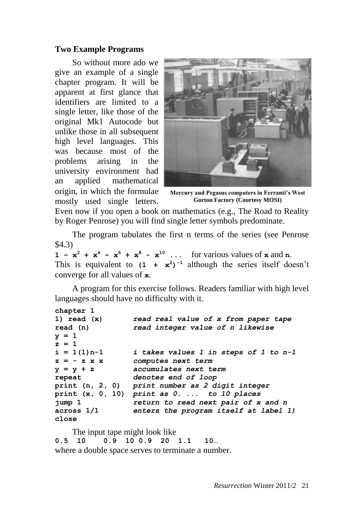### **Two Example Programs**

So without more ado we give an example of a single chapter program. It will be apparent at first glance that identifiers are limited to a single letter, like those of the original Mk1 Autocode but unlike those in all subsequent high level languages. This was because most of the problems arising in the university environment had an applied mathematical origin, in which the formulae mostly used single letters.



**Mercury and Pegasus computers in Ferranti's West Gorton Factory (Courtesy MOSI)**

Even now if you open a book on mathematics (e.g., The Road to Reality by Roger Penrose) you will find single letter symbols predominate.

The program tabulates the first n terms of the series (see Penrose \$4.3)

**1** -  $x^2 + x^4 - x^6 + x^8 - x^{10}$  ... for various values of x and n. This is equivalent to  $(1 + x^2)^{-1}$  although the series itself doesn't converge for all values of **x**.

A program for this exercise follows. Readers familiar with high level languages should have no difficulty with it.

```
chapter 1
1) read (x) read real value of x from paper tape
read (n) read integer value of n likewise
y = 1
z = 1
i = 1(1)n-1 i takes values 1 in steps of 1 to n-1
z = - z x x computes next term
y = y + z accumulates next term
repeat denotes end of loop
print (n, 2, 0) print number as 2 digit integer
print (x, 0, 10) print as 0. ... to 10 places
jump 1 return to read next pair of x and n
across 1/1 enters the program itself at label 1)
close
```
The input tape might look like

**0.5 10 0.9 10 0.9 20 1.1 10…** where a double space serves to terminate a number.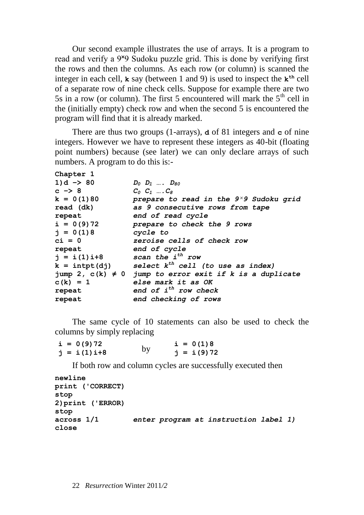Our second example illustrates the use of arrays. It is a program to read and verify a 9<sup>x</sup>9 Sudoku puzzle grid. This is done by verifying first the rows and then the columns. As each row (or column) is scanned the integer in each cell,  $\bf{k}$  say (between 1 and 9) is used to inspect the  $\bf{k}^{\text{th}}$  cell of a separate row of nine check cells. Suppose for example there are two 5s in a row (or column). The first 5 encountered will mark the  $5<sup>th</sup>$  cell in the (initially empty) check row and when the second 5 is encountered the program will find that it is already marked.

There are thus two groups (1-arrays), **d** of 81 integers and **c** of nine integers. However we have to represent these integers as 40-bit (floating point numbers) because (see later) we can only declare arrays of such numbers. A program to do this is:-

| Chapter 1            |                                                              |
|----------------------|--------------------------------------------------------------|
| $1)d \rightarrow 80$ | $D_0$ $D_1$ $D_{80}$                                         |
| $c \rightarrow 8$    | $C_0$ $C_1$ $C_8$                                            |
| $k = 0(1)80$         | prepare to read in the $9\times 9$ Sudoku grid               |
| read (dk)            | as 9 consecutive rows from tape                              |
| repeat               | end of read cycle                                            |
| $i = 0(9)72$         | prepare to check the 9 rows                                  |
| $j = 0(1)8$          | cycle to                                                     |
| $ci = 0$             | zeroise cells of check row                                   |
| repeat               | end of cycle                                                 |
| $j = i(1)i+8$        | scan the i <sup>th</sup> row                                 |
| $k = intpt(dj)$      | select $k^{th}$ cell (to use as index)                       |
|                      | jump 2, $c(k) \neq 0$ jump to error exit if k is a duplicate |
| $c(k) = 1$           | else mark it as OK                                           |
| repeat               | end of $i^{th}$ row check                                    |
| repeat               | end checking of rows                                         |
|                      |                                                              |

The same cycle of 10 statements can also be used to check the columns by simply replacing

| $i = 0(9)72$  |    | $i = 0(1)8$  |
|---------------|----|--------------|
| $j = i(1)i+8$ | by | $j = i(9)72$ |

If both row and column cycles are successfully executed then

```
newline
print ('CORRECT)
stop
2)print ('ERROR)
stop
across 1/1 enter program at instruction label 1)
close
```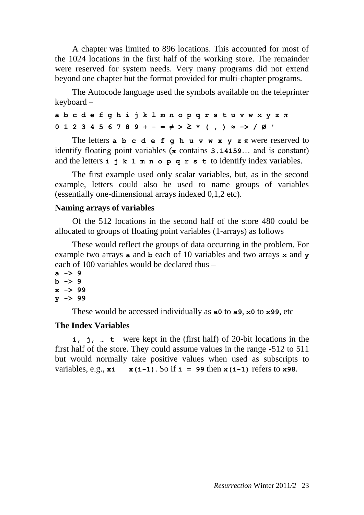A chapter was limited to 896 locations. This accounted for most of the 1024 locations in the first half of the working store. The remainder were reserved for system needs. Very many programs did not extend beyond one chapter but the format provided for multi-chapter programs.

The Autocode language used the symbols available on the teleprinter keyboard –

**a b c d e f g h i j k l m n o p q r s t u v w x y z π 0 1 2 3 4 5 6 7 8 9 + - = ≠ > ≥ \* ( , ) ≈ −> / Ø '**

The letters  $a$   $b$   $c$   $d$   $e$   $f$   $g$   $h$   $u$   $v$   $w$   $x$   $y$   $z$   $\pi$  were reserved to identify floating point variables (**π** contains **3.14159**… and is constant) and the letters **i j k l m n o p q r s t** to identify index variables.

The first example used only scalar variables, but, as in the second example, letters could also be used to name groups of variables (essentially one-dimensional arrays indexed 0,1,2 etc).

#### **Naming arrays of variables**

Of the 512 locations in the second half of the store 480 could be allocated to groups of floating point variables (1-arrays) as follows

These would reflect the groups of data occurring in the problem. For example two arrays **a** and **b** each of 10 variables and two arrays **x** and **y** each of 100 variables would be declared thus –

```
a -> 9
b -> 9
x -> 99
y -> 99
```
These would be accessed individually as **a0** to **a9**, **x0** to **x99**, etc

#### **The Index Variables**

**i, j, … t** were kept in the (first half) of 20-bit locations in the first half of the store. They could assume values in the range -512 to 511 but would normally take positive values when used as subscripts to variables, e.g.,  $\mathbf{x}$ **i**  $\mathbf{x}$ (**i**-1). So if **i** = 99 then  $\mathbf{x}$ (**i**-1) refers to **x**98.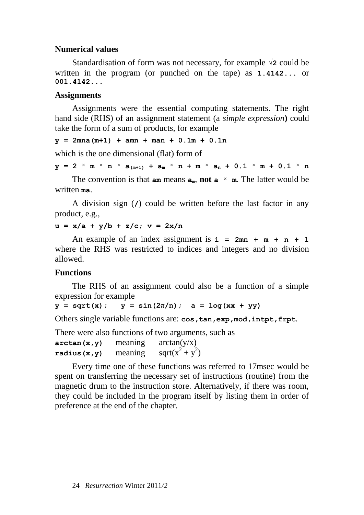#### **Numerical values**

Standardisation of form was not necessary, for example **√2** could be written in the program (or punched on the tape) as **1.4142...** or **001.4142...**

#### **Assignments**

Assignments were the essential computing statements. The right hand side (RHS) of an assignment statement (a *simple expression***)** could take the form of a sum of products, for example

 $y = 2mna(m+1) + amn + man + 0.1m + 0.1n$ 

which is the one dimensional (flat) form of

 $y = 2 \times m \times n \times a_{(m+1)} + a_m \times n + m \times a_n + 0.1 \times m + 0.1 \times n$ 

The convention is that  $am$  means  $a_m$ , **not**  $a \times m$ . The latter would be written **ma**.

A division sign (**/**) could be written before the last factor in any product, e.g.,

 $u = x/a + y/b + z/c$ ;  $v = 2x/n$ 

An example of an index assignment is  $i = 2mn + m + n + 1$ where the RHS was restricted to indices and integers and no division allowed.

#### **Functions**

The RHS of an assignment could also be a function of a simple expression for example

 $y = sqrt(x)$ ;  $y = sin(2\pi/n)$ ;  $a = log(xx + yy)$ 

Others single variable functions are: **cos,tan,exp,mod,intpt,frpt**.

There were also functions of two arguments, such as

 $\arctan(x, y)$  meaning  $\arctan(y/x)$  $radius(x,y)$  meaning  $+y^2$ 

Every time one of these functions was referred to 17msec would be spent on transferring the necessary set of instructions (routine) from the magnetic drum to the instruction store. Alternatively, if there was room, they could be included in the program itself by listing them in order of preference at the end of the chapter.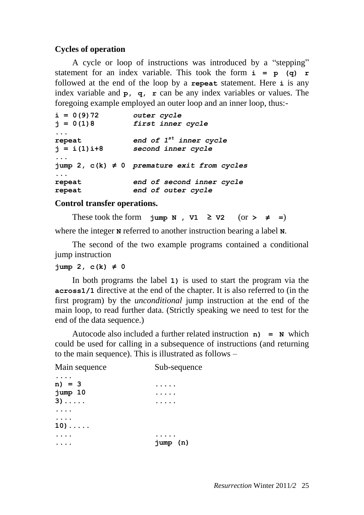### **Cycles of operation**

A cycle or loop of instructions was introduced by a "stepping" statement for an index variable. This took the form  $\mathbf{i} = \mathbf{p}$  (q)  $\mathbf{r}$ followed at the end of the loop by a **repeat** statement. Here **i** is any index variable and **p, q, r** can be any index variables or values. The foregoing example employed an outer loop and an inner loop, thus:-

```
i = 0(9)72 outer cycle
j = 0(1)8 first inner cycle
...
repeat end of 1st inner cycle
j = i(1)i+8 second inner cycle
...
jump 2, c(k) ≠ 0 premature exit from cycles
...
repeat end of second inner cycle
repeat end of outer cycle
```
#### **Control transfer operations.**

These took the form **jump N**,  $v1 \ge v2$  (or  $\ge \ne =$ )

where the integer **N** referred to another instruction bearing a label **N**.

The second of the two example programs contained a conditional jump instruction

```
jump 2, c(k) \neq 0
```
In both programs the label **1)** is used to start the program via the **across1/1** directive at the end of the chapter. It is also referred to (in the first program) by the *unconditional* jump instruction at the end of the main loop, to read further data. (Strictly speaking we need to test for the end of the data sequence.)

Autocode also included a further related instruction **n) = N** which could be used for calling in a subsequence of instructions (and returning to the main sequence). This is illustrated as follows –

| Main sequence | Sub-sequence |
|---------------|--------------|
| $n) = 3$      |              |
| jump 10       |              |
| $3) \ldots$   |              |
|               |              |
| $10) \ldots$  |              |
|               |              |
|               | jump (n)     |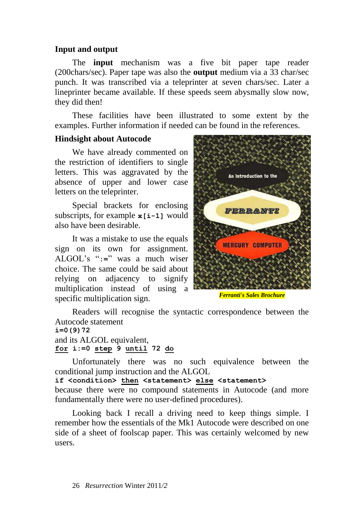### **Input and output**

The **input** mechanism was a five bit paper tape reader (200chars/sec). Paper tape was also the **output** medium via a 33 char/sec punch. It was transcribed via a teleprinter at seven chars/sec. Later a lineprinter became available. If these speeds seem abysmally slow now, they did then!

These facilities have been illustrated to some extent by the examples. Further information if needed can be found in the references.

### **Hindsight about Autocode**

We have already commented on the restriction of identifiers to single letters. This was aggravated by the absence of upper and lower case letters on the teleprinter.

Special brackets for enclosing subscripts, for example **x[i-1]** would also have been desirable.

It was a mistake to use the equals sign on its own for assignment. ALGOL's "**:=**" was a much wiser choice. The same could be said about relying on adjacency to signify multiplication instead of using a specific multiplication sign.



*[Ferranti's Sales Brochure](http://archive.computerhistory.org/resources/text/Ferranti/Ferranti.Mercury.1956.102646224.pdf)*

Readers will recognise the syntactic correspondence between the Autocode statement **i=0(9)72**

and its ALGOL equivalent, **for i:=0 step 9 until 72 do**

Unfortunately there was no such equivalence between the conditional jump instruction and the ALGOL

**if <condition> then <statement> else <statement>** because there were no compound statements in Autocode (and more fundamentally there were no user-defined procedures).

Looking back I recall a driving need to keep things simple. I remember how the essentials of the Mk1 Autocode were described on one side of a sheet of foolscap paper. This was certainly welcomed by new users.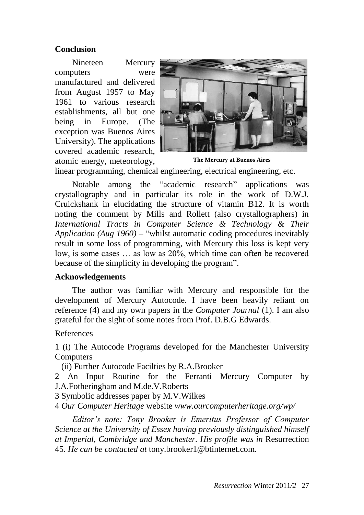### **Conclusion**

Nineteen Mercury computers were manufactured and delivered from August 1957 to May 1961 to various research establishments, all but one being in Europe. (The exception was Buenos Aires University). The applications covered academic research, atomic energy, meteorology,



linear programming, chemical engineering, electrical engineering, etc. **The Mercury at Buenos Aires**

Notable among the "academic research" applications was crystallography and in particular its role in the work of D.W.J. Cruickshank in elucidating the structure of vitamin B12. It is worth noting the comment by Mills and Rollett (also crystallographers) in *International Tracts in Computer Science & Technology & Their Application (Aug 1960)* – "whilst automatic coding procedures inevitably result in some loss of programming, with Mercury this loss is kept very low, is some cases … as low as 20%, which time can often be recovered because of the simplicity in developing the program".

#### **Acknowledgements**

The author was familiar with Mercury and responsible for the development of Mercury Autocode. I have been heavily reliant on reference (4) and my own papers in the *Computer Journal* (1). I am also grateful for the sight of some notes from Prof. D.B.G Edwards.

References

1 (i) The Autocode Programs developed for the Manchester University **Computers** 

(ii) Further Autocode Facilties by R.A.Brooker

2 An Input Routine for the Ferranti Mercury Computer by J.A.Fotheringham and M.de.V.Roberts

3 Symbolic addresses paper by M.V.Wilkes

4 *Our Computer Heritage* website *[www.ourcomputerheritage.org/wp/](http://www.ourcomputerheritage.org/wp/)*

*Editor's note: Tony Brooker is Emeritus Professor of Computer Science at the University of Essex having previously distinguished himself at Imperial, Cambridge and Manchester. His profile was in* Resurrection 45*. He can be contacted at* [tony.brooker1@btinternet.com](mailto:tony.brooker1@btinternet.com)*.*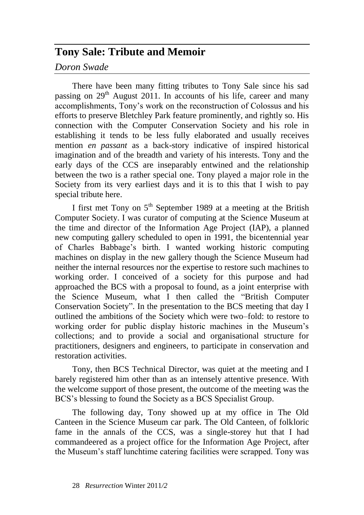# **Tony Sale: Tribute and Memoir**

*Doron Swade*

There have been many fitting tributes to Tony Sale since his sad passing on  $29<sup>th</sup>$  August 2011. In accounts of his life, career and many accomplishments, Tony's work on the reconstruction of Colossus and his efforts to preserve Bletchley Park feature prominently, and rightly so. His connection with the Computer Conservation Society and his role in establishing it tends to be less fully elaborated and usually receives mention *en passant* as a back-story indicative of inspired historical imagination and of the breadth and variety of his interests. Tony and the early days of the CCS are inseparably entwined and the relationship between the two is a rather special one. Tony played a major role in the Society from its very earliest days and it is to this that I wish to pay special tribute here.

I first met Tony on 5<sup>th</sup> September 1989 at a meeting at the British Computer Society. I was curator of computing at the Science Museum at the time and director of the Information Age Project (IAP), a planned new computing gallery scheduled to open in 1991, the bicentennial year of Charles Babbage's birth. I wanted working historic computing machines on display in the new gallery though the Science Museum had neither the internal resources nor the expertise to restore such machines to working order. I conceived of a society for this purpose and had approached the BCS with a proposal to found, as a joint enterprise with the Science Museum, what I then called the "British Computer Conservation Society". In the presentation to the BCS meeting that day I outlined the ambitions of the Society which were two–fold: to restore to working order for public display historic machines in the Museum's collections; and to provide a social and organisational structure for practitioners, designers and engineers, to participate in conservation and restoration activities.

Tony, then BCS Technical Director, was quiet at the meeting and I barely registered him other than as an intensely attentive presence. With the welcome support of those present, the outcome of the meeting was the BCS's blessing to found the Society as a BCS Specialist Group.

The following day, Tony showed up at my office in The Old Canteen in the Science Museum car park. The Old Canteen, of folkloric fame in the annals of the CCS, was a single-storey hut that I had commandeered as a project office for the Information Age Project, after the Museum's staff lunchtime catering facilities were scrapped. Tony was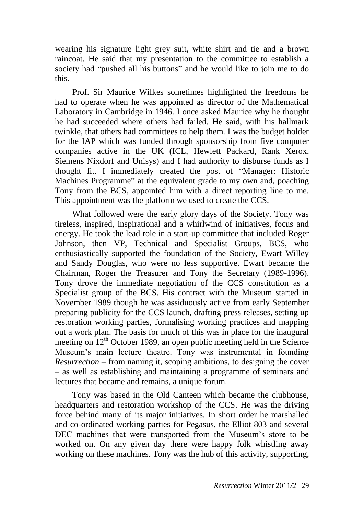wearing his signature light grey suit, white shirt and tie and a brown raincoat. He said that my presentation to the committee to establish a society had "pushed all his buttons" and he would like to join me to do this.

Prof. Sir Maurice Wilkes sometimes highlighted the freedoms he had to operate when he was appointed as director of the Mathematical Laboratory in Cambridge in 1946. I once asked Maurice why he thought he had succeeded where others had failed. He said, with his hallmark twinkle, that others had committees to help them. I was the budget holder for the IAP which was funded through sponsorship from five computer companies active in the UK (ICL, Hewlett Packard, Rank Xerox, Siemens Nixdorf and Unisys) and I had authority to disburse funds as I thought fit. I immediately created the post of "Manager: Historic Machines Programme" at the equivalent grade to my own and, poaching Tony from the BCS, appointed him with a direct reporting line to me. This appointment was the platform we used to create the CCS.

What followed were the early glory days of the Society. Tony was tireless, inspired, inspirational and a whirlwind of initiatives, focus and energy. He took the lead role in a start-up committee that included Roger Johnson, then VP, Technical and Specialist Groups, BCS, who enthusiastically supported the foundation of the Society, Ewart Willey and Sandy Douglas, who were no less supportive. Ewart became the Chairman, Roger the Treasurer and Tony the Secretary (1989-1996). Tony drove the immediate negotiation of the CCS constitution as a Specialist group of the BCS. His contract with the Museum started in November 1989 though he was assiduously active from early September preparing publicity for the CCS launch, drafting press releases, setting up restoration working parties, formalising working practices and mapping out a work plan. The basis for much of this was in place for the inaugural meeting on  $12<sup>th</sup>$  October 1989, an open public meeting held in the Science Museum's main lecture theatre. Tony was instrumental in founding *Resurrection* – from naming it, scoping ambitions, to designing the cover – as well as establishing and maintaining a programme of seminars and lectures that became and remains, a unique forum.

Tony was based in the Old Canteen which became the clubhouse, headquarters and restoration workshop of the CCS. He was the driving force behind many of its major initiatives. In short order he marshalled and co-ordinated working parties for Pegasus, the Elliot 803 and several DEC machines that were transported from the Museum's store to be worked on. On any given day there were happy folk whistling away working on these machines. Tony was the hub of this activity, supporting,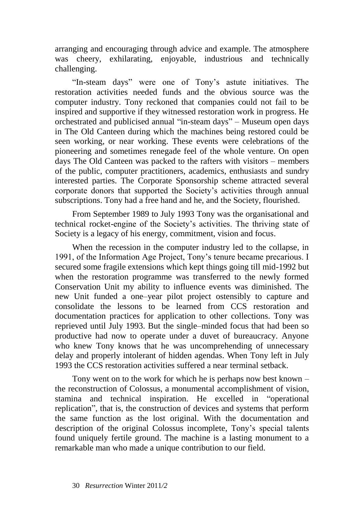arranging and encouraging through advice and example. The atmosphere was cheery, exhilarating, enjoyable, industrious and technically challenging.

"In-steam days" were one of Tony's astute initiatives. The restoration activities needed funds and the obvious source was the computer industry. Tony reckoned that companies could not fail to be inspired and supportive if they witnessed restoration work in progress. He orchestrated and publicised annual "in-steam days" – Museum open days in The Old Canteen during which the machines being restored could be seen working, or near working. These events were celebrations of the pioneering and sometimes renegade feel of the whole venture. On open days The Old Canteen was packed to the rafters with visitors – members of the public, computer practitioners, academics, enthusiasts and sundry interested parties. The Corporate Sponsorship scheme attracted several corporate donors that supported the Society's activities through annual subscriptions. Tony had a free hand and he, and the Society, flourished.

From September 1989 to July 1993 Tony was the organisational and technical rocket-engine of the Society's activities. The thriving state of Society is a legacy of his energy, commitment, vision and focus.

When the recession in the computer industry led to the collapse, in 1991, of the Information Age Project, Tony's tenure became precarious. I secured some fragile extensions which kept things going till mid-1992 but when the restoration programme was transferred to the newly formed Conservation Unit my ability to influence events was diminished. The new Unit funded a one–year pilot project ostensibly to capture and consolidate the lessons to be learned from CCS restoration and documentation practices for application to other collections. Tony was reprieved until July 1993. But the single–minded focus that had been so productive had now to operate under a duvet of bureaucracy. Anyone who knew Tony knows that he was uncomprehending of unnecessary delay and properly intolerant of hidden agendas. When Tony left in July 1993 the CCS restoration activities suffered a near terminal setback.

Tony went on to the work for which he is perhaps now best known – the reconstruction of Colossus, a monumental accomplishment of vision, stamina and technical inspiration. He excelled in "operational replication", that is, the construction of devices and systems that perform the same function as the lost original. With the documentation and description of the original Colossus incomplete, Tony's special talents found uniquely fertile ground. The machine is a lasting monument to a remarkable man who made a unique contribution to our field.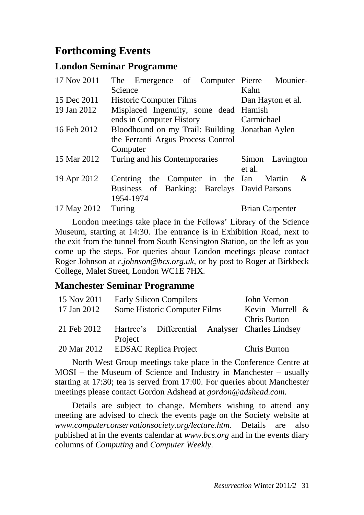# **Forthcoming Events**

# **London Seminar Programme**

| 17 Nov 2011 | The Emergence of Computer Pierre Mounier-       |                        |
|-------------|-------------------------------------------------|------------------------|
|             | Science                                         | Kahn                   |
| 15 Dec 2011 | <b>Historic Computer Films</b>                  | Dan Hayton et al.      |
| 19 Jan 2012 | Misplaced Ingenuity, some dead Hamish           |                        |
|             | ends in Computer History                        | Carmichael             |
| 16 Feb 2012 | Bloodhound on my Trail: Building Jonathan Aylen |                        |
|             | the Ferranti Argus Process Control              |                        |
|             | Computer                                        |                        |
| 15 Mar 2012 | Turing and his Contemporaries                   | Simon Lavington        |
|             |                                                 | et al.                 |
| 19 Apr 2012 | Centring the Computer in the Ian Martin         | $\&$                   |
|             | Business of Banking: Barclays David Parsons     |                        |
|             | 1954-1974                                       |                        |
| 17 May 2012 | Turing                                          | <b>Brian Carpenter</b> |
|             |                                                 |                        |

London meetings take place in the Fellows' Library of the Science Museum, starting at 14:30. The entrance is in Exhibition Road, next to the exit from the tunnel from South Kensington Station, on the left as you come up the steps. For queries about London meetings please contact Roger Johnson at *[r.johnson@bcs.org.uk](mailto:r.johnson@bcs.org.uk)*, or by post to Roger at Birkbeck College, Malet Street, London WC1E 7HX.

# **Manchester Seminar Programme**

| 15 Nov 2011 | <b>Early Silicon Compilers</b> |                              |                 | John Vernon                                     |  |
|-------------|--------------------------------|------------------------------|-----------------|-------------------------------------------------|--|
| 17 Jan 2012 | Some Historic Computer Films   |                              | Kevin Murrell & |                                                 |  |
|             |                                |                              |                 | <b>Chris Burton</b>                             |  |
| 21 Feb 2012 |                                |                              |                 | Hartree's Differential Analyser Charles Lindsey |  |
|             | Project                        |                              |                 |                                                 |  |
| 20 Mar 2012 |                                | <b>EDSAC Replica Project</b> |                 | Chris Burton                                    |  |

North West Group meetings take place in the Conference Centre at MOSI – the Museum of Science and Industry in Manchester – usually starting at 17:30; tea is served from 17:00. For queries about Manchester meetings please contact Gordon Adshead at *[gordon@adshead.com.](mailto:gordon@adshead.com)*

Details are subject to change. Members wishing to attend any meeting are advised to check the events page on the Society website at *[www.computerconservationsociety.org/lecture.htm](http://www.computerconservationsociety.org/lecture.htm)*. Details are also published at in the events calendar at *[www.bcs.org](http://www.bcs.org/)* and in the events diary columns of *[Computing](http://www.computing.co.uk/)* and *[Computer Weekly.](http://www.computerweekly.com/Home/)*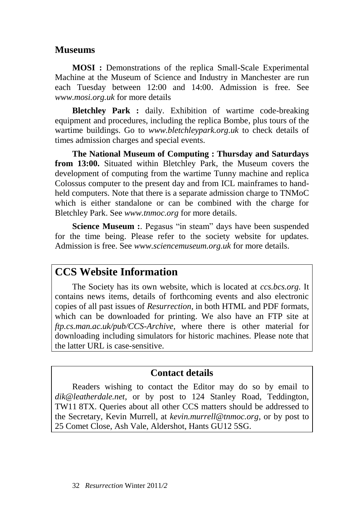# **Museums**

**MOSI :** Demonstrations of the replica Small-Scale Experimental Machine at the Museum of Science and Industry in Manchester are run each Tuesday between 12:00 and 14:00. Admission is free. See *[www.mosi.org.uk](http://www.mosi.org.uk/)* for more details

**Bletchley Park :** daily. Exhibition of wartime code-breaking equipment and procedures, including the replica Bombe, plus tours of the wartime buildings. Go to *[www.bletchleypark.org.uk](http://www.bletchleypark.org.uk/)* to check details of times admission charges and special events.

**The National Museum of Computing : Thursday and Saturdays from 13:00.** Situated within Bletchley Park, the Museum covers the development of computing from the wartime Tunny machine and replica Colossus computer to the present day and from ICL mainframes to handheld computers. Note that there is a separate admission charge to TNMoC which is either standalone or can be combined with the charge for Bletchley Park. See *[www.tnmoc.org](http://www.tnmoc.org/)* for more details.

**Science Museum :**. Pegasus "in steam" days have been suspended for the time being. Please refer to the society website for updates. Admission is free. See *[www.sciencemuseum.org.uk](http://www.sciencemuseum.org.uk/)* for more details.

# **CCS Website Information**

The Society has its own website, which is located at *[ccs.bcs.org.](http://ccs.bcs.org/)* It contains news items, details of forthcoming events and also electronic copies of all past issues of *Resurrection*, in both HTML and PDF formats, which can be downloaded for printing. We also have an FTP site at *ftp.cs.man.ac.uk/pub/CCS-Archive*, where there is other material for downloading including simulators for historic machines. Please note that the latter URL is case-sensitive.

# **Contact details**

Readers wishing to contact the Editor may do so by email to *[dik@leatherdale.net](mailto:dik@leatherdale.net)*, or by post to 124 Stanley Road, Teddington, TW11 8TX. Queries about all other CCS matters should be addressed to the Secretary, Kevin Murrell, at *[kevin.murrell@tnmoc.org](mailto:kevin.murrell@tnmoc.org)*, or by post to 25 Comet Close, Ash Vale, Aldershot, Hants GU12 5SG.